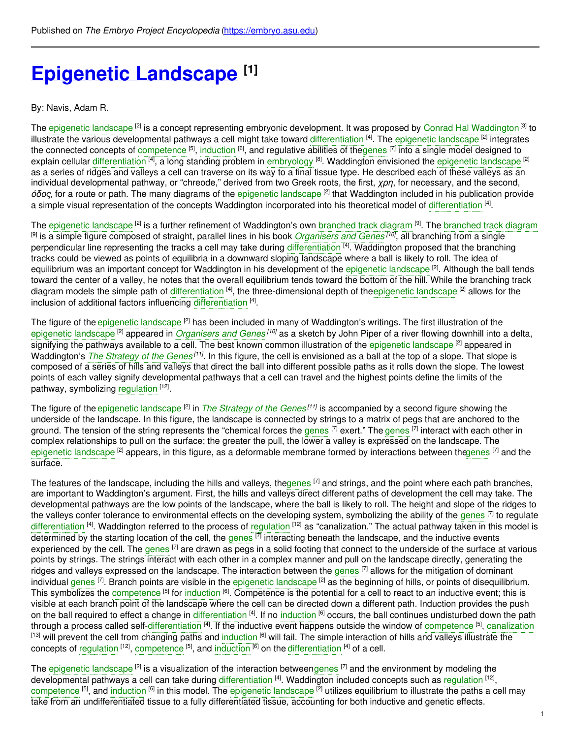# **Epigenetic [Landscape](https://embryo.asu.edu/pages/epigenetic-landscape) [1]**

By: Navis, Adam R.

The [epigenetic](https://embryo.asu.edu/search?text=epigenetic%20landscape) landscape <sup>[2]</sup> is a concept representing embryonic development. It was proposed by Conrad Hal [Waddington](https://embryo.asu.edu/search?text=Conrad%20Hal%20Waddington)<sup>[3]</sup> to illustrate the various developmental pathways a cell might take toward [differentiation](https://embryo.asu.edu/search?text=differentiation) <sup>[4]</sup>. The epigenetic [landscape](https://embryo.asu.edu/search?text=epigenetic%20landscape) <sup>[2]</sup> integrates the connected concepts of [competence](https://embryo.asu.edu/search?text=competence) <sup>[5]</sup>, [induction](https://embryo.asu.edu/search?text=induction) <sup>[6]</sup>, and regulative abilities of th[egenes](https://embryo.asu.edu/search?text=genes) <sup>[7]</sup> into a single model designed to explain cellular [differentiation](https://embryo.asu.edu/search?text=differentiation) <sup>[4]</sup>, a long standing problem in [embryology](https://embryo.asu.edu/search?text=embryology) <sup>[8]</sup>. Waddington envisioned the epigenetic [landscape](https://embryo.asu.edu/search?text=epigenetic%20landscape) <sup>[2]</sup> as a series of ridges and valleys a cell can traverse on its way to a final tissue type. He described each of these valleys as an individual developmental pathway, or "chreode," derived from two Greek roots, the first, *χρη*, for necessary, and the second, *óδος*, for a route or path. The many diagrams of the [epigenetic](https://embryo.asu.edu/search?text=epigenetic%20landscape) landscape [2] that Waddington included in his publication provide a simple visual representation of the concepts Waddington incorporated into his theoretical model of [differentiation](https://embryo.asu.edu/search?text=differentiation) <sup>[4]</sup>.

The [epigenetic](https://embryo.asu.edu/search?text=epigenetic%20landscape) landscape <sup>[2]</sup> is a further refinement of Waddington's own [branched](https://embryo.asu.edu/search?text=branched%20track%20diagram) track diagram <sup>[9]</sup>. The branched track diagram [9] is a simple figure composed of straight, parallel lines in his book *[Organisers](https://embryo.asu.edu/search?text=Organisers%20and%20Genes) and Genes [10]* , all branching from a single perpendicular line representing the tracks a cell may take during [differentiation](https://embryo.asu.edu/search?text=differentiation) <sup>[4]</sup>. Waddington proposed that the branching tracks could be viewed as points of equilibria in a downward sloping landscape where a ball is likely to roll. The idea of equilibrium was an important concept for Waddington in his development of the [epigenetic](https://embryo.asu.edu/search?text=epigenetic%20landscape) landscape <sup>[2]</sup>. Although the ball tends toward the center of a valley, he notes that the overall equilibrium tends toward the bottom of the hill. While the branching track diagram models the simple path of [differentiation](https://embryo.asu.edu/search?text=differentiation) <sup>[4]</sup>, the three-dimensional depth of th[eepigenetic](https://embryo.asu.edu/search?text=epigenetic%20landscape) landscape <sup>[2]</sup> allows for the inclusion of additional factors influencing [differentiation](https://embryo.asu.edu/search?text=differentiation) [4].

The figure of the [epigenetic](https://embryo.asu.edu/search?text=epigenetic%20landscape) landscape <sup>[2]</sup> has been included in many of Waddington's writings. The first illustration of the [epigenetic](https://embryo.asu.edu/search?text=epigenetic%20landscape) landscape [2] appeared in *[Organisers](https://embryo.asu.edu/search?text=Organisers%20and%20Genes) and Genes [10]* as a sketch by John Piper of a river flowing downhill into a delta, signifying the pathways available to a cell. The best known common illustration of the [epigenetic](https://embryo.asu.edu/search?text=epigenetic%20landscape) landscape <sup>[2]</sup> appeared in Waddington's *The [Strategy](https://embryo.asu.edu/search?text=The%20Strategy%20of%20the%20Genes) of the Genes<sup>[11]</sup>.* In this figure, the cell is envisioned as a ball at the top of a slope. That slope is composed of a series of hills and valleys that direct the ball into different possible paths as it rolls down the slope. The lowest points of each valley signify developmental pathways that a cell can travel and the highest points define the limits of the pathway, symbolizing [regulation](https://embryo.asu.edu/search?text=regulation) [12].

The figure of the [epigenetic](https://embryo.asu.edu/search?text=epigenetic%20landscape) landscape <sup>[2]</sup> in *The [Strategy](https://embryo.asu.edu/search?text=The%20Strategy%20of%20the%20Genes) of the Genes<sup>[11]</sup>* is accompanied by a second figure showing the underside of the landscape. In this figure, the landscape is connected by strings to a matrix of pegs that are anchored to the ground. The tension of the string represents the "chemical forces the [genes](https://embryo.asu.edu/search?text=genes) <sup>[7]</sup> exert." The genes <sup>[7]</sup> interact with each other in complex relationships to pull on the surface; the greater the pull, the lower a valley is expressed on the landscape. The [epigenetic](https://embryo.asu.edu/search?text=epigenetic%20landscape) landscape <sup>[2]</sup> appears, in this figure, as a deformable membrane formed by interactions between th[egenes](https://embryo.asu.edu/search?text=genes) <sup>[7]</sup> and the surface.

The features of the landscape, including the hills and valleys, the[genes](https://embryo.asu.edu/search?text=genes) <sup>[7]</sup> and strings, and the point where each path branches, are important to Waddington's argument. First, the hills and valleys direct different paths of development the cell may take. The developmental pathways are the low points of the landscape, where the ball is likely to roll. The height and slope of the ridges to the valleys confer tolerance to environmental effects on the developing system, symbolizing the ability of the [genes](https://embryo.asu.edu/search?text=genes) <sup>[7]</sup> to regulate [differentiation](https://embryo.asu.edu/search?text=differentiation) <sup>[4]</sup>. Waddington referred to the process of [regulation](https://embryo.asu.edu/search?text=regulation) <sup>[12]</sup> as "canalization." The actual pathway taken in this model is determined by the starting location of the cell, the [genes](https://embryo.asu.edu/search?text=genes) <sup>[7]</sup> interacting beneath the landscape, and the inductive events experienced by the cell. The [genes](https://embryo.asu.edu/search?text=genes) <sup>[7]</sup> are drawn as pegs in a solid footing that connect to the underside of the surface at various points by strings. The strings interact with each other in a complex manner and pull on the landscape directly, generating the ridges and valleys expressed on the landscape. The interaction between the [genes](https://embryo.asu.edu/search?text=genes) <sup>[7]</sup> allows for the mitigation of dominant individual [genes](https://embryo.asu.edu/search?text=genes) <sup>[7]</sup>. Branch points are visible in the epigenetic [landscape](https://embryo.asu.edu/search?text=epigenetic%20landscape) <sup>[2]</sup> as the beginning of hills, or points of disequilibrium. This symbolizes the [competence](https://embryo.asu.edu/search?text=competence) <sup>[5]</sup> for [induction](https://embryo.asu.edu/search?text=induction) <sup>[6]</sup>. Competence is the potential for a cell to react to an inductive event; this is visible at each branch point of the landscape where the cell can be directed down a different path. Induction provides the push on the ball required to effect a change in [differentiation](https://embryo.asu.edu/search?text=differentiation) <sup>[4]</sup>. If no [induction](https://embryo.asu.edu/search?text=induction) <sup>[6]</sup> occurs, the ball continues undisturbed down the path through a process called self[-differentiation](https://embryo.asu.edu/search?text=differentiation) <sup>[4]</sup>. If the inductive event happens outside the window of [competence](https://embryo.asu.edu/search?text=competence) <sup>[5]</sup>, [canalization](https://embryo.asu.edu/search?text=canalization) <sup>[13]</sup> will prevent the cell from changing paths and [induction](https://embryo.asu.edu/search?text=induction) <sup>[6]</sup> will fail. The simple interaction of hills and valleys illustrate the concepts of [regulation](https://embryo.asu.edu/search?text=regulation) <sup>[12]</sup>, [competence](https://embryo.asu.edu/search?text=competence) <sup>[5]</sup>, and [induction](https://embryo.asu.edu/search?text=induction) <sup>[6]</sup> on the [differentiation](https://embryo.asu.edu/search?text=differentiation) <sup>[4]</sup> of a cell.

The [epigenetic](https://embryo.asu.edu/search?text=epigenetic%20landscape) landscape <sup>[2]</sup> is a visualization of the interaction between[genes](https://embryo.asu.edu/search?text=genes) <sup>[7]</sup> and the environment by modeling the developmental pathways a cell can take during [differentiation](https://embryo.asu.edu/search?text=differentiation) <sup>[4]</sup>. Waddington included concepts such as [regulation](https://embryo.asu.edu/search?text=regulation) <sup>[12]</sup>, [competence](https://embryo.asu.edu/search?text=competence) <sup>[5]</sup>, and [induction](https://embryo.asu.edu/search?text=induction) <sup>[6]</sup> in this model. The epigenetic [landscape](https://embryo.asu.edu/search?text=epigenetic%20landscape) <sup>[2]</sup> utilizes equilibrium to illustrate the paths a cell may take from an undifferentiated tissue to a fully differentiated tissue, accounting for both inductive and genetic effects.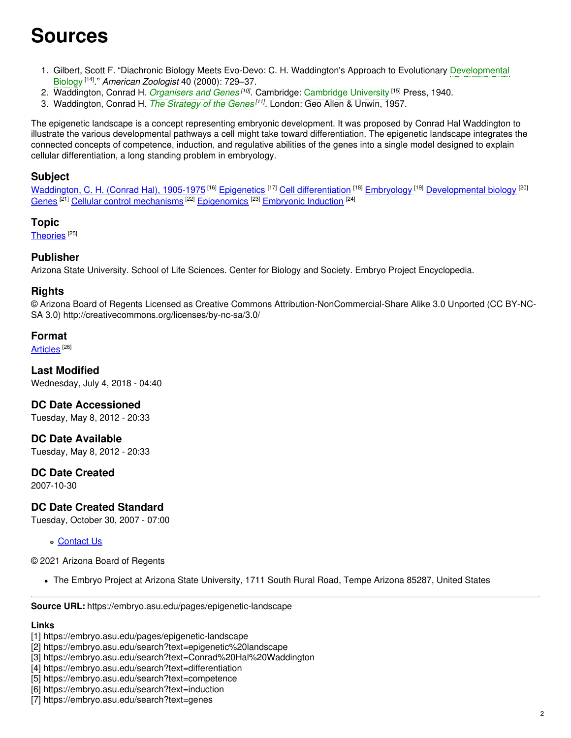## **Sources**

- 1. Gilbert, Scott F. "Diachronic Biology Meets Evo-Devo: C. H. Waddington's Approach to Evolutionary [Developmental](https://embryo.asu.edu/search?text=Developmental%20Biology) Biology [14] ." *American Zoologist* 40 (2000): 729–37.
- 2. Waddington, Conrad H. *[Organisers](https://embryo.asu.edu/search?text=Organisers%20and%20Genes) and Genes [10]* . Cambridge: [Cambridge](https://embryo.asu.edu/search?text=Cambridge%20University) University [15] Press, 1940.
- 3. Waddington, Conrad H. *The [Strategy](https://embryo.asu.edu/search?text=The%20Strategy%20of%20the%20Genes) of the Genes [11]* . London: Geo Allen & Unwin, 1957.

The epigenetic landscape is a concept representing embryonic development. It was proposed by Conrad Hal Waddington to illustrate the various developmental pathways a cell might take toward differentiation. The epigenetic landscape integrates the connected concepts of competence, induction, and regulative abilities of the genes into a single model designed to explain cellular differentiation, a long standing problem in embryology.

### **Subject**

[Waddington,](https://embryo.asu.edu/library-congress-subject-headings/waddington-c-h-conrad-hal-1905-1975) C. H. (Conrad Hal), 1905-1975 <sup>[16]</sup> [Epigenetics](https://embryo.asu.edu/library-congress-subject-headings/epigenetics) <sup>[17]</sup> Cell [differentiation](https://embryo.asu.edu/library-congress-subject-headings/cell-differentiation) <sup>[18]</sup> [Embryology](https://embryo.asu.edu/library-congress-subject-headings/embryology) <sup>[19]</sup> [Developmental](https://embryo.asu.edu/library-congress-subject-headings/developmental-biology) biology <sup>[20]</sup> [Genes](https://embryo.asu.edu/library-congress-subject-headings/genes)<sup>[21]</sup> Cellular control [mechanisms](https://embryo.asu.edu/library-congress-subject-headings/cellular-control-mechanisms)<sup>[22]</sup> [Epigenomics](https://embryo.asu.edu/medical-subject-headings/epigenomics)<sup>[23]</sup> [Embryonic](https://embryo.asu.edu/medical-subject-headings/embryonic-induction) Induction<sup>[24]</sup>

#### **Topic**

[Theories](https://embryo.asu.edu/topics/theories)<sup>[25]</sup>

#### **Publisher**

Arizona State University. School of Life Sciences. Center for Biology and Society. Embryo Project Encyclopedia.

#### **Rights**

© Arizona Board of Regents Licensed as Creative Commons Attribution-NonCommercial-Share Alike 3.0 Unported (CC BY-NC-SA 3.0) http://creativecommons.org/licenses/by-nc-sa/3.0/

#### **Format**

[Articles](https://embryo.asu.edu/formats/articles) <sup>[26]</sup>

**Last Modified** Wednesday, July 4, 2018 - 04:40

**DC Date Accessioned**

Tuesday, May 8, 2012 - 20:33

**DC Date Available** Tuesday, May 8, 2012 - 20:33

#### **DC Date Created**

2007-10-30

#### **DC Date Created Standard**

Tuesday, October 30, 2007 - 07:00

[Contact](https://embryo.asu.edu/contact) Us

© 2021 Arizona Board of Regents

The Embryo Project at Arizona State University, 1711 South Rural Road, Tempe Arizona 85287, United States

**Source URL:** https://embryo.asu.edu/pages/epigenetic-landscape

#### **Links**

- [3] https://embryo.asu.edu/search?text=Conrad%20Hal%20Waddington
- [4] https://embryo.asu.edu/search?text=differentiation
- [5] https://embryo.asu.edu/search?text=competence
- [6] https://embryo.asu.edu/search?text=induction
- [7] https://embryo.asu.edu/search?text=genes

<sup>[1]</sup> https://embryo.asu.edu/pages/epigenetic-landscape

<sup>[2]</sup> https://embryo.asu.edu/search?text=epigenetic%20landscape